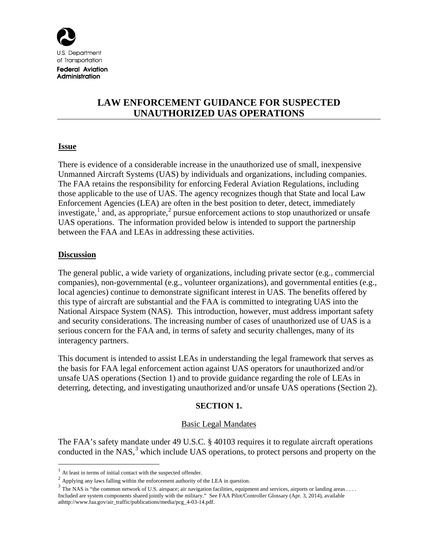

**Federal Aviation** Administration

# **LAW ENFORCEMENT GUIDANCE FOR SUSPECTED UNAUTHORIZED UAS OPERATIONS**

### **Issue**

There is evidence of a considerable increase in the unauthorized use of small, inexpensive Unmanned Aircraft Systems (UAS) by individuals and organizations, including companies. The FAA retains the responsibility for enforcing Federal Aviation Regulations, including those applicable to the use of UAS. The agency recognizes though that State and local Law Enforcement Agencies (LEA) are often in the best position to deter, detect, immediately investigate,<sup>[1](#page-0-0)</sup> and, as appropriate,<sup>[2](#page-0-1)</sup> pursue enforcement actions to stop unauthorized or unsafe UAS operations. The information provided below is intended to support the partnership between the FAA and LEAs in addressing these activities.

### **Discussion**

The general public, a wide variety of organizations, including private sector (e.g., commercial companies), non-governmental (e.g., volunteer organizations), and governmental entities (e.g., local agencies) continue to demonstrate significant interest in UAS. The benefits offered by this type of aircraft are substantial and the FAA is committed to integrating UAS into the National Airspace System (NAS). This introduction, however, must address important safety and security considerations. The increasing number of cases of unauthorized use of UAS is a serious concern for the FAA and, in terms of safety and security challenges, many of its interagency partners.

This document is intended to assist LEAs in understanding the legal framework that serves as the basis for FAA legal enforcement action against UAS operators for unauthorized and/or unsafe UAS operations (Section 1) and to provide guidance regarding the role of LEAs in deterring, detecting, and investigating unauthorized and/or unsafe UAS operations (Section 2).

## **SECTION 1.**

### Basic Legal Mandates

The FAA's safety mandate under 49 U.S.C. § 40103 requires it to regulate aircraft operations conducted in the NAS, [3](#page-0-2) which include UAS operations, to protect persons and property on the

At least in terms of initial contact with the suspected offender.

<span id="page-0-1"></span><span id="page-0-0"></span><sup>&</sup>lt;sup>2</sup> Applying any laws falling within the enforcement authority of the LEA in question.

<span id="page-0-3"></span><span id="page-0-2"></span><sup>&</sup>lt;sup>3</sup> The NAS is "the common network of U.S. airspace; air navigation facilities, equipment and services, airports or landing areas . . . . Included are system components shared jointly with the military." See FAA Pilot/Controller Glossary (Apr. 3, 2014), available athttp://www.faa.gov/air\_traffic/publications/media/pcg\_4-03-14.pdf.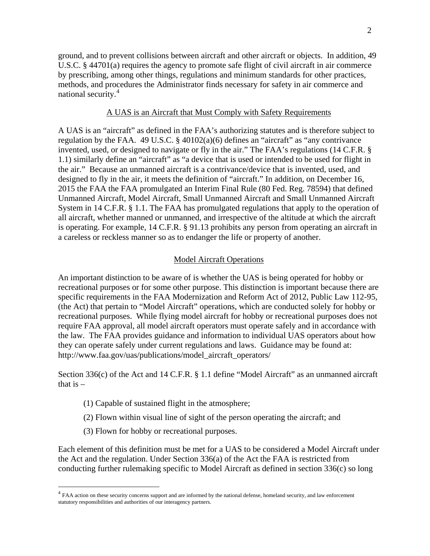ground, and to prevent collisions between aircraft and other aircraft or objects. In addition, 49 U.S.C. § 44701(a) requires the agency to promote safe flight of civil aircraft in air commerce by prescribing, among other things, regulations and minimum standards for other practices, methods, and procedures the Administrator finds necessary for safety in air commerce and national security. [4](#page-0-3)

#### A UAS is an Aircraft that Must Comply with Safety Requirements

A UAS is an "aircraft" as defined in the FAA's authorizing statutes and is therefore subject to regulation by the FAA. 49 U.S.C. § 40102(a)(6) defines an "aircraft" as "any contrivance invented, used, or designed to navigate or fly in the air." The FAA's regulations (14 C.F.R. § 1.1) similarly define an "aircraft" as "a device that is used or intended to be used for flight in the air." Because an unmanned aircraft is a contrivance/device that is invented, used, and designed to fly in the air, it meets the definition of "aircraft." In addition, on December 16, 2015 the FAA the FAA promulgated an Interim Final Rule (80 Fed. Reg. 78594) that defined Unmanned Aircraft, Model Aircraft, Small Unmanned Aircraft and Small Unmanned Aircraft System in 14 C.F.R. § 1.1. The FAA has promulgated regulations that apply to the operation of all aircraft, whether manned or unmanned, and irrespective of the altitude at which the aircraft is operating. For example, 14 C.F.R. § 91.13 prohibits any person from operating an aircraft in a careless or reckless manner so as to endanger the life or property of another.

#### Model Aircraft Operations

An important distinction to be aware of is whether the UAS is being operated for hobby or recreational purposes or for some other purpose. This distinction is important because there are specific requirements in the FAA Modernization and Reform Act of 2012, Public Law 112-95, (the Act) that pertain to "Model Aircraft" operations, which are conducted solely for hobby or recreational purposes. While flying model aircraft for hobby or recreational purposes does not require FAA approval, all model aircraft operators must operate safely and in accordance with the law. The FAA provides guidance and information to individual UAS operators about how they can operate safely under current regulations and laws. Guidance may be found at: http://www.faa.gov/uas/publications/model\_aircraft\_operators/

Section 336(c) of the Act and 14 C.F.R. § 1.1 define "Model Aircraft" as an unmanned aircraft that is  $-$ 

- (1) Capable of sustained flight in the atmosphere;
- (2) Flown within visual line of sight of the person operating the aircraft; and
- (3) Flown for hobby or recreational purposes.

<span id="page-1-0"></span>Each element of this definition must be met for a UAS to be considered a Model Aircraft under the Act and the regulation. Under Section 336(a) of the Act the FAA is restricted from conducting further rulemaking specific to Model Aircraft as defined in section 336(c) so long

<sup>&</sup>lt;sup>4</sup> FAA action on these security concerns support and are informed by the national defense, homeland security, and law enforcement statutory responsibilities and authorities of our interagency partners.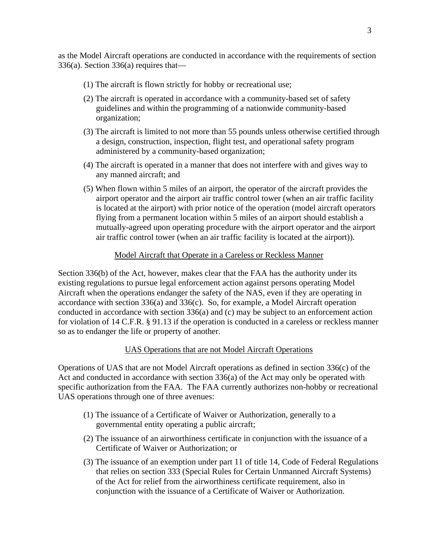as the Model Aircraft operations are conducted in accordance with the requirements of section 336(a). Section 336(a) requires that—

- (1) The aircraft is flown strictly for hobby or recreational use;
- (2) The aircraft is operated in accordance with a community-based set of safety guidelines and within the programming of a nationwide community-based organization;
- (3) The aircraft is limited to not more than 55 pounds unless otherwise certified through a design, construction, inspection, flight test, and operational safety program administered by a community-based organization;
- (4) The aircraft is operated in a manner that does not interfere with and gives way to any manned aircraft; and
- (5) When flown within 5 miles of an airport, the operator of the aircraft provides the airport operator and the airport air traffic control tower (when an air traffic facility is located at the airport) with prior notice of the operation (model aircraft operators flying from a permanent location within 5 miles of an airport should establish a mutually-agreed upon operating procedure with the airport operator and the airport air traffic control tower (when an air traffic facility is located at the airport)).

### Model Aircraft that Operate in a Careless or Reckless Manner

Section 336(b) of the Act, however, makes clear that the FAA has the authority under its existing regulations to pursue legal enforcement action against persons operating Model Aircraft when the operations endanger the safety of the NAS, even if they are operating in accordance with section 336(a) and 336(c). So, for example, a Model Aircraft operation conducted in accordance with section 336(a) and (c) may be subject to an enforcement action for violation of 14 C.F.R. § 91.13 if the operation is conducted in a careless or reckless manner so as to endanger the life or property of another.

### UAS Operations that are not Model Aircraft Operations

Operations of UAS that are not Model Aircraft operations as defined in section 336(c) of the Act and conducted in accordance with section 336(a) of the Act may only be operated with specific authorization from the FAA. The FAA currently authorizes non-hobby or recreational UAS operations through one of three avenues:

- (1) The issuance of a Certificate of Waiver or Authorization, generally to a governmental entity operating a public aircraft;
- (2) The issuance of an airworthiness certificate in conjunction with the issuance of a Certificate of Waiver or Authorization; or
- (3) The issuance of an exemption under part 11 of title 14, Code of Federal Regulations that relies on section 333 (Special Rules for Certain Unmanned Aircraft Systems) of the Act for relief from the airworthiness certificate requirement, also in conjunction with the issuance of a Certificate of Waiver or Authorization.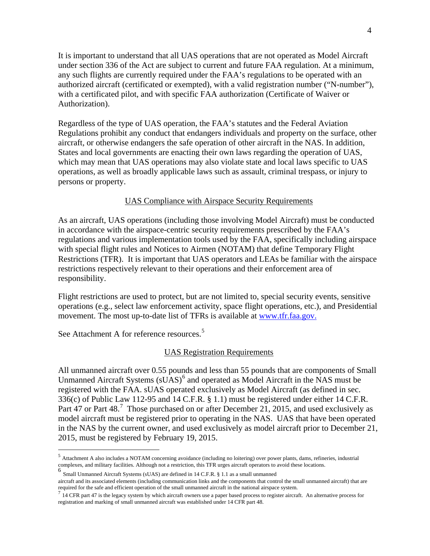It is important to understand that all UAS operations that are not operated as Model Aircraft under section 336 of the Act are subject to current and future FAA regulation. At a minimum, any such flights are currently required under the FAA's regulations to be operated with an authorized aircraft (certificated or exempted), with a valid registration number ("N-number"), with a certificated pilot, and with specific FAA authorization (Certificate of Waiver or Authorization).

Regardless of the type of UAS operation, the FAA's statutes and the Federal Aviation Regulations prohibit any conduct that endangers individuals and property on the surface, other aircraft, or otherwise endangers the safe operation of other aircraft in the NAS. In addition, States and local governments are enacting their own laws regarding the operation of UAS, which may mean that UAS operations may also violate state and local laws specific to UAS operations, as well as broadly applicable laws such as assault, criminal trespass, or injury to persons or property.

## UAS Compliance with Airspace Security Requirements

As an aircraft, UAS operations (including those involving Model Aircraft) must be conducted in accordance with the airspace-centric security requirements prescribed by the FAA's regulations and various implementation tools used by the FAA, specifically including airspace with special flight rules and Notices to Airmen (NOTAM) that define Temporary Flight Restrictions (TFR). It is important that UAS operators and LEAs be familiar with the airspace restrictions respectively relevant to their operations and their enforcement area of responsibility.

Flight restrictions are used to protect, but are not limited to, special security events, sensitive operations (e.g., select law enforcement activity, space flight operations, etc.), and Presidential movement. The most up-to-date list of TFRs is available at [www.tfr.faa.gov.](http://www.tfr.faa.gov/)

See Attachment A for reference resources.<sup>[5](#page-1-0)</sup>

#### UAS Registration Requirements

All unmanned aircraft over 0.55 pounds and less than 55 pounds that are components of Small Unmanned Aircraft Systems  $(sUAS)^6$  $(sUAS)^6$  and operated as Model Aircraft in the NAS must be registered with the FAA. sUAS operated exclusively as Model Aircraft (as defined in sec. 336(c) of Public Law 112-95 and 14 C.F.R. § 1.1) must be registered under either 14 C.F.R. Part 4[7](#page-3-1) or Part 48.<sup>7</sup> Those purchased on or after December 21, 2015, and used exclusively as model aircraft must be registered prior to operating in the NAS. UAS that have been operated in the NAS by the current owner, and used exclusively as model aircraft prior to December 21, 2015, must be registered by February 19, 2015.

 <sup>5</sup> Attachment A also includes a NOTAM concerning avoidance (including no loitering) over power plants, dams, refineries, industrial complexes, and military facilities. Although not a restriction, this TFR urges aircraft operators to avoid these locations.

<span id="page-3-0"></span><sup>6</sup> Small Unmanned Aircraft Systems (sUAS) are defined in 14 C.F.R. § 1.1 as a small unmanned

aircraft and its associated elements (including communication links and the components that control the small unmanned aircraft) that are required for the safe and efficient operation of the small unmanned aircraft in the

<span id="page-3-2"></span><span id="page-3-1"></span><sup>14</sup> CFR part 47 is the legacy system by which aircraft owners use a paper based process to register aircraft. An alternative process for registration and marking of small unmanned aircraft was established under 14 CFR part 48.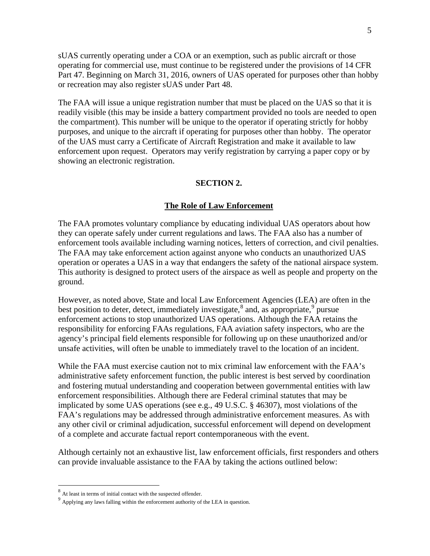sUAS currently operating under a COA or an exemption, such as public aircraft or those operating for commercial use, must continue to be registered under the provisions of 14 CFR Part 47. Beginning on March 31, 2016, owners of UAS operated for purposes other than hobby or recreation may also register sUAS under Part 48.

The FAA will issue a unique registration number that must be placed on the UAS so that it is readily visible (this may be inside a battery compartment provided no tools are needed to open the compartment). This number will be unique to the operator if operating strictly for hobby purposes, and unique to the aircraft if operating for purposes other than hobby. The operator of the UAS must carry a Certificate of Aircraft Registration and make it available to law enforcement upon request. Operators may verify registration by carrying a paper copy or by showing an electronic registration.

#### **SECTION 2.**

#### **The Role of Law Enforcement**

The FAA promotes voluntary compliance by educating individual UAS operators about how they can operate safely under current regulations and laws. The FAA also has a number of enforcement tools available including warning notices, letters of correction, and civil penalties. The FAA may take enforcement action against anyone who conducts an unauthorized UAS operation or operates a UAS in a way that endangers the safety of the national airspace system. This authority is designed to protect users of the airspace as well as people and property on the ground.

However, as noted above, State and local Law Enforcement Agencies (LEA) are often in the best position to deter, detect, immediately investigate,  $\delta$  and, as appropriate,  $\delta$  pursue enforcement actions to stop unauthorized UAS operations. Although the FAA retains the responsibility for enforcing FAAs regulations, FAA aviation safety inspectors, who are the agency's principal field elements responsible for following up on these unauthorized and/or unsafe activities, will often be unable to immediately travel to the location of an incident.

While the FAA must exercise caution not to mix criminal law enforcement with the FAA's administrative safety enforcement function, the public interest is best served by coordination and fostering mutual understanding and cooperation between governmental entities with law enforcement responsibilities. Although there are Federal criminal statutes that may be implicated by some UAS operations (see e.g., 49 U.S.C. § 46307), most violations of the FAA's regulations may be addressed through administrative enforcement measures. As with any other civil or criminal adjudication, successful enforcement will depend on development of a complete and accurate factual report contemporaneous with the event.

Although certainly not an exhaustive list, law enforcement officials, first responders and others can provide invaluable assistance to the FAA by taking the actions outlined below:

 <sup>8</sup> At least in terms of initial contact with the suspected offender.

<span id="page-4-0"></span> $9$  Applying any laws falling within the enforcement authority of the LEA in question.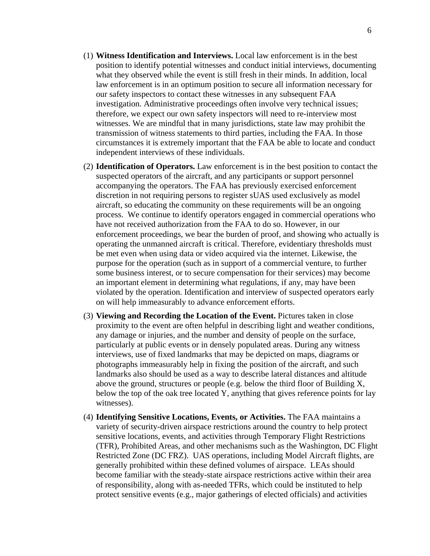- (1) **Witness Identification and Interviews.** Local law enforcement is in the best position to identify potential witnesses and conduct initial interviews, documenting what they observed while the event is still fresh in their minds. In addition, local law enforcement is in an optimum position to secure all information necessary for our safety inspectors to contact these witnesses in any subsequent FAA investigation. Administrative proceedings often involve very technical issues; therefore, we expect our own safety inspectors will need to re-interview most witnesses. We are mindful that in many jurisdictions, state law may prohibit the transmission of witness statements to third parties, including the FAA. In those circumstances it is extremely important that the FAA be able to locate and conduct independent interviews of these individuals.
- (2) **Identification of Operators.** Law enforcement is in the best position to contact the suspected operators of the aircraft, and any participants or support personnel accompanying the operators. The FAA has previously exercised enforcement discretion in not requiring persons to register sUAS used exclusively as model aircraft, so educating the community on these requirements will be an ongoing process. We continue to identify operators engaged in commercial operations who have not received authorization from the FAA to do so. However, in our enforcement proceedings, we bear the burden of proof, and showing who actually is operating the unmanned aircraft is critical. Therefore, evidentiary thresholds must be met even when using data or video acquired via the internet. Likewise, the purpose for the operation (such as in support of a commercial venture, to further some business interest, or to secure compensation for their services) may become an important element in determining what regulations, if any, may have been violated by the operation. Identification and interview of suspected operators early on will help immeasurably to advance enforcement efforts.
- (3) **Viewing and Recording the Location of the Event.** Pictures taken in close proximity to the event are often helpful in describing light and weather conditions, any damage or injuries, and the number and density of people on the surface, particularly at public events or in densely populated areas. During any witness interviews, use of fixed landmarks that may be depicted on maps, diagrams or photographs immeasurably help in fixing the position of the aircraft, and such landmarks also should be used as a way to describe lateral distances and altitude above the ground, structures or people (e.g. below the third floor of Building X, below the top of the oak tree located Y, anything that gives reference points for lay witnesses).
- (4) **Identifying Sensitive Locations, Events, or Activities.** The FAA maintains a variety of security-driven airspace restrictions around the country to help protect sensitive locations, events, and activities through Temporary Flight Restrictions (TFR), Prohibited Areas, and other mechanisms such as the Washington, DC Flight Restricted Zone (DC FRZ). UAS operations, including Model Aircraft flights, are generally prohibited within these defined volumes of airspace. LEAs should become familiar with the steady-state airspace restrictions active within their area of responsibility, along with as-needed TFRs, which could be instituted to help protect sensitive events (e.g., major gatherings of elected officials) and activities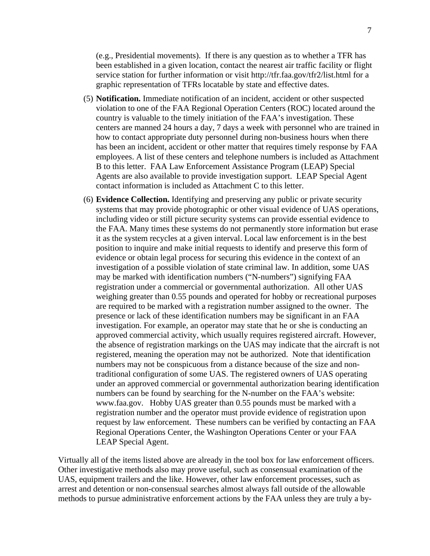(e.g., Presidential movements). If there is any question as to whether a TFR has been established in a given location, contact the nearest air traffic facility or flight service station for further information or visit http://tfr.faa.gov/tfr2/list.html for a graphic representation of TFRs locatable by state and effective dates.

- (5) **Notification.** Immediate notification of an incident, accident or other suspected violation to one of the FAA Regional Operation Centers (ROC) located around the country is valuable to the timely initiation of the FAA's investigation. These centers are manned 24 hours a day, 7 days a week with personnel who are trained in how to contact appropriate duty personnel during non-business hours when there has been an incident, accident or other matter that requires timely response by FAA employees. A list of these centers and telephone numbers is included as Attachment B to this letter. FAA Law Enforcement Assistance Program (LEAP) Special Agents are also available to provide investigation support. LEAP Special Agent contact information is included as Attachment C to this letter.
- (6) **Evidence Collection.** Identifying and preserving any public or private security systems that may provide photographic or other visual evidence of UAS operations, including video or still picture security systems can provide essential evidence to the FAA. Many times these systems do not permanently store information but erase it as the system recycles at a given interval. Local law enforcement is in the best position to inquire and make initial requests to identify and preserve this form of evidence or obtain legal process for securing this evidence in the context of an investigation of a possible violation of state criminal law. In addition, some UAS may be marked with identification numbers ("N-numbers") signifying FAA registration under a commercial or governmental authorization. All other UAS weighing greater than 0.55 pounds and operated for hobby or recreational purposes are required to be marked with a registration number assigned to the owner. The presence or lack of these identification numbers may be significant in an FAA investigation. For example, an operator may state that he or she is conducting an approved commercial activity, which usually requires registered aircraft. However, the absence of registration markings on the UAS may indicate that the aircraft is not registered, meaning the operation may not be authorized. Note that identification numbers may not be conspicuous from a distance because of the size and nontraditional configuration of some UAS. The registered owners of UAS operating under an approved commercial or governmental authorization bearing identification numbers can be found by searching for the N-number on the FAA's website: www.faa.gov. Hobby UAS greater than 0.55 pounds must be marked with a registration number and the operator must provide evidence of registration upon request by law enforcement. These numbers can be verified by contacting an FAA Regional Operations Center, the Washington Operations Center or your FAA LEAP Special Agent.

Virtually all of the items listed above are already in the tool box for law enforcement officers. Other investigative methods also may prove useful, such as consensual examination of the UAS, equipment trailers and the like. However, other law enforcement processes, such as arrest and detention or non-consensual searches almost always fall outside of the allowable methods to pursue administrative enforcement actions by the FAA unless they are truly a by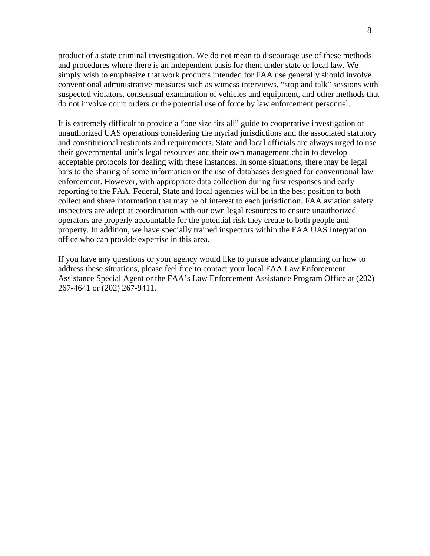product of a state criminal investigation. We do not mean to discourage use of these methods and procedures where there is an independent basis for them under state or local law. We simply wish to emphasize that work products intended for FAA use generally should involve conventional administrative measures such as witness interviews, "stop and talk" sessions with suspected violators, consensual examination of vehicles and equipment, and other methods that do not involve court orders or the potential use of force by law enforcement personnel.

It is extremely difficult to provide a "one size fits all" guide to cooperative investigation of unauthorized UAS operations considering the myriad jurisdictions and the associated statutory and constitutional restraints and requirements. State and local officials are always urged to use their governmental unit's legal resources and their own management chain to develop acceptable protocols for dealing with these instances. In some situations, there may be legal bars to the sharing of some information or the use of databases designed for conventional law enforcement. However, with appropriate data collection during first responses and early reporting to the FAA, Federal, State and local agencies will be in the best position to both collect and share information that may be of interest to each jurisdiction. FAA aviation safety inspectors are adept at coordination with our own legal resources to ensure unauthorized operators are properly accountable for the potential risk they create to both people and property. In addition, we have specially trained inspectors within the FAA UAS Integration office who can provide expertise in this area.

If you have any questions or your agency would like to pursue advance planning on how to address these situations, please feel free to contact your local FAA Law Enforcement Assistance Special Agent or the FAA's Law Enforcement Assistance Program Office at (202) 267-4641 or (202) 267-9411.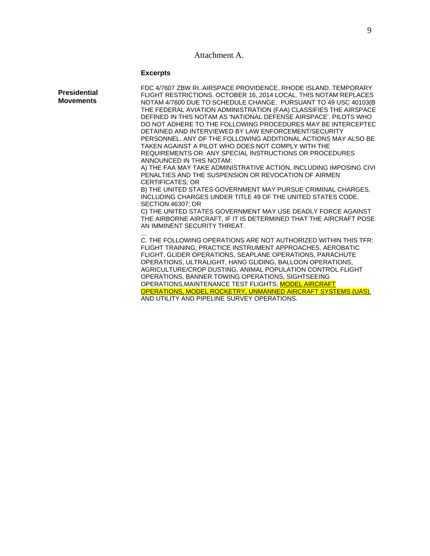## Attachment A.

## **Excerpts**

| FDC 4/7607 ZBW RIAIRSPACE PROVIDENCE, RHODE ISLANDTEMPORARY<br>FLIGHT RESTRICTIONS. OCTOBER 16, 2014 LOCAL. THIS NOTAM REPLACES<br>NOTAM 4/7600 DUE TO SCHEDULE CHANGE. PURSUANT TO 49 USC 40103(B<br>THE FEDERAL AVIATION ADMINISTRATION (FAA) CLASSIFIES THE AIRSPACE<br>DEFINED IN THIS NOTAM AS 'NATIONAL DEFENSE AIRSPACE'. PILOTS WHO<br>DO NOT ADHERE TO THE FOLLOWING PROCEDURES MAY BE INTERCEPTED<br>DETAINED AND INTERVIEWED BY LAW ENFORCEMENT/SECURITY                                                                               |
|---------------------------------------------------------------------------------------------------------------------------------------------------------------------------------------------------------------------------------------------------------------------------------------------------------------------------------------------------------------------------------------------------------------------------------------------------------------------------------------------------------------------------------------------------|
| PERSONNEL, ANY OF THE FOLLOWING ADDITIONAL ACTIONS MAY ALSO BE<br>TAKEN AGAINST A PILOT WHO DOES NOT COMPLY WITH THE<br>REQUIREMENTS OR ANY SPECIAL INSTRUCTIONS OR PROCEDURES<br>ANNOUNCED IN THIS NOTAM:                                                                                                                                                                                                                                                                                                                                        |
| A) THE FAA MAY TAKE ADMINISTRATIVE ACTION, INCLUDING IMPOSING CIVI<br>PENALTIES AND THE SUSPENSION OR REVOCATION OF AIRMEN<br><b>CERTIFICATES: OR</b>                                                                                                                                                                                                                                                                                                                                                                                             |
| B) THE UNITED STATES GOVERNMENT MAY PURSUE CRIMINAL CHARGES,<br>INCLUDING CHARGES UNDER TITLE 49 OF THE UNITED STATES CODE,<br>SECTION 46307: OR                                                                                                                                                                                                                                                                                                                                                                                                  |
| C) THE UNITED STATES GOVERNMENT MAY USE DEADLY FORCE AGAINST<br>THE AIRBORNE AIRCRAFT, IF IT IS DETERMINED THAT THE AIRCRAFT POSE:<br>AN IMMINENT SECURITY THREAT.                                                                                                                                                                                                                                                                                                                                                                                |
| C. THE FOLLOWING OPERATIONS ARE NOT AUTHORIZED WITHIN THIS TFR:<br>FLIGHT TRAINING, PRACTICE INSTRUMENT APPROACHES, AEROBATIC<br>FLIGHT, GLIDER OPERATIONS, SEAPLANE OPERATIONS, PARACHUTE<br>OPERATIONS, ULTRALIGHT, HANG GLIDING, BALLOON OPERATIONS,<br>AGRICULTURE/CROP DUSTING, ANIMAL POPULATION CONTROL FLIGHT<br>OPERATIONS, BANNER TOWING OPERATIONS, SIGHTSEEING<br>OPERATIONS, MAINTENANCE TEST FLIGHTS, MODEL AIRCRAFT<br>OPERATIONS, MODEL ROCKETRY, UNMANNED AIRCRAFT SYSTEMS (UAS).<br>AND UTILITY AND PIPELINE SURVEY OPERATIONS. |
|                                                                                                                                                                                                                                                                                                                                                                                                                                                                                                                                                   |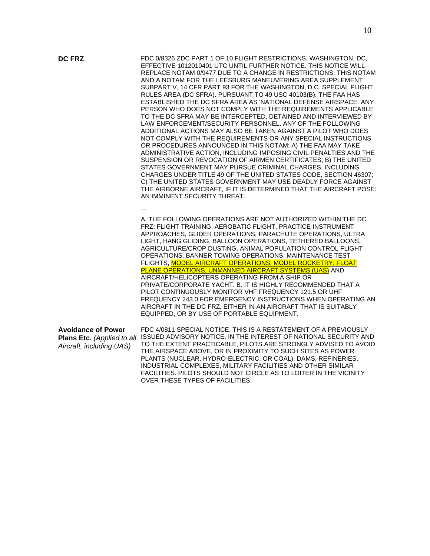**DC FRZ** FDC 0/8326 ZDC PART 1 OF 10 FLIGHT RESTRICTIONS, WASHINGTON, DC, EFFECTIVE 1012010401 UTC UNTIL FURTHER NOTICE. THIS NOTICE WILL REPLACE NOTAM 0/9477 DUE TO A CHANGE IN RESTRICTIONS. THIS NOTAM AND A NOTAM FOR THE LEESBURG MANEUVERING AREA SUPPLEMENT SUBPART V, 14 CFR PART 93 FOR THE WASHINGTON, D.C. SPECIAL FLIGHT RULES AREA (DC SFRA). PURSUANT TO 49 USC 40103(B), THE FAA HAS ESTABLISHED THE DC SFRA AREA AS 'NATIONAL DEFENSE AIRSPACE. ANY PERSON WHO DOES NOT COMPLY WITH THE REQUIREMENTS APPLICABLE TO THE DC SFRA MAY BE INTERCEPTED, DETAINED AND INTERVIEWED BY LAW ENFORCEMENT/SECURITY PERSONNEL. ANY OF THE FOLLOWING ADDITIONAL ACTIONS MAY ALSO BE TAKEN AGAINST A PILOT WHO DOES NOT COMPLY WITH THE REQUIREMENTS OR ANY SPECIAL INSTRUCTIONS OR PROCEDURES ANNOUNCED IN THIS NOTAM: A) THE FAA MAY TAKE ADMINISTRATIVE ACTION, INCLUDING IMPOSING CIVIL PENALTIES AND THE SUSPENSION OR REVOCATION OF AIRMEN CERTIFICATES; B) THE UNITED STATES GOVERNMENT MAY PURSUE CRIMINAL CHARGES, INCLUDING CHARGES UNDER TITLE 49 OF THE UNITED STATES CODE, SECTION 46307; C) THE UNITED STATES GOVERNMENT MAY USE DEADLY FORCE AGAINST THE AIRBORNE AIRCRAFT, IF IT IS DETERMINED THAT THE AIRCRAFT POSE! AN IMMINENT SECURITY THREAT.

> A. THE FOLLOWING OPERATIONS ARE NOT AUTHORIZED WITHIN THE DC FRZ: FLIGHT TRAINING, AEROBATIC FLIGHT, PRACTICE INSTRUMENT APPROACHES, GLIDER OPERATIONS, PARACHUTE OPERATIONS, ULTRA LIGHT, HANG GLIDING, BALLOON OPERATIONS, TETHERED BALLOONS, AGRICULTURE/CROP DUSTING, ANIMAL POPULATION CONTROL FLIGHT OPERATIONS, BANNER TOWING OPERATIONS, MAINTENANCE TEST FLIGHTS, MODEL AIRCRAFT OPERATIONS, MODEL ROCKETRY, FLOAT PLANE OPERATIONS, UNMANNED AIRCRAFT SYSTEMS (UAS) AND AIRCRAFT/HELICOPTERS OPERATING FROM A SHIP OR PRIVATE/CORPORATE YACHT. B. IT IS HIGHLY RECOMMENDED THAT A PILOT CONTINUOUSLY MONITOR VHF FREQUENCY 121.5 OR UHF FREQUENCY 243.0 FOR EMERGENCY INSTRUCTIONS WHEN OPERATING AN AIRCRAFT IN THE DC FRZ, EITHER IN AN AIRCRAFT THAT IS SUITABLY EQUIPPED, OR BY USE OF PORTABLE EQUIPMENT.

| <b>Avoidance of Power</b> | FDC 4/0811 SPECIAL NOTICE. THIS IS A RESTATEMENT OF A PREVIOUSLY                            |
|---------------------------|---------------------------------------------------------------------------------------------|
|                           | Plans Etc. (Applied to all ISSUED ADVISORY NOTICE. IN THE INTEREST OF NATIONAL SECURITY AND |
| Aircraft, including UAS)  | TO THE EXTENT PRACTICABLE, PILOTS ARE STRONGLY ADVISED TO AVOID                             |
|                           | THE AIRSPACE ABOVE, OR IN PROXIMITY TO SUCH SITES AS POWER                                  |
|                           | PLANTS (NUCLEAR, HYDRO-ELECTRIC, OR COAL), DAMS, REFINERIES,                                |
|                           | INDUSTRIAL COMPLEXES, MILITARY FACILITIES AND OTHER SIMILAR                                 |
|                           | FACILITIES. PILOTS SHOULD NOT CIRCLE AS TO LOITER IN THE VICINITY                           |
|                           | OVER THESE TYPES OF FACILITIES.                                                             |

…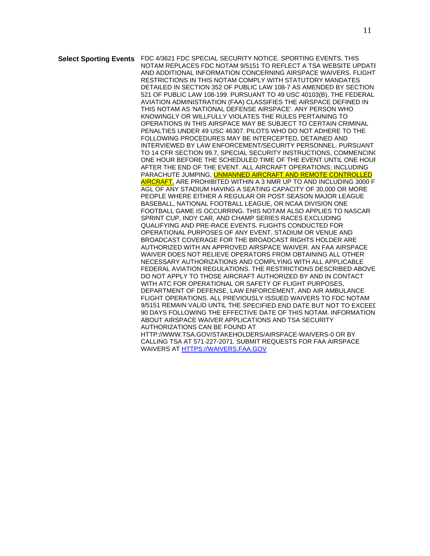**Select Sporting Events** FDC 4/3621 FDC SPECIAL SECURITY NOTICE. SPORTING EVENTS. THIS NOTAM REPLACES FDC NOTAM 9/5151 TO REFLECT A TSA WEBSITE UPDATE AND ADDITIONAL INFORMATION CONCERNING AIRSPACE WAIVERS. FLIGHT RESTRICTIONS IN THIS NOTAM COMPLY WITH STATUTORY MANDATES DETAILED IN SECTION 352 OF PUBLIC LAW 108-7 AS AMENDED BY SECTION 521 OF PUBLIC LAW 108-199. PURSUANT TO 49 USC 40103(B), THE FEDERAL AVIATION ADMINISTRATION (FAA) CLASSIFIES THE AIRSPACE DEFINED IN THIS NOTAM AS 'NATIONAL DEFENSE AIRSPACE'. ANY PERSON WHO KNOWINGLY OR WILLFULLY VIOLATES THE RULES PERTAINING TO OPERATIONS IN THIS AIRSPACE MAY BE SUBJECT TO CERTAIN CRIMINAL PENALTIES UNDER 49 USC 46307. PILOTS WHO DO NOT ADHERE TO THE FOLLOWING PROCEDURES MAY BE INTERCEPTED, DETAINED AND INTERVIEWED BY LAW ENFORCEMENT/SECURITY PERSONNEL. PURSUANT TO 14 CFR SECTION 99.7, SPECIAL SECURITY INSTRUCTIONS, COMMENCING ONE HOUR BEFORE THE SCHEDULED TIME OF THE EVENT UNTIL ONE HOUR AFTER THE END OF THE EVENT. ALL AIRCRAFT OPERATIONS; INCLUDING PARACHUTE JUMPING, **UNMANNED AIRCRAFT AND REMOTE CONTROLLED** AIRCRAFT, ARE PROHIBITED WITHIN A 3 NMR UP TO AND INCLUDING 3000 FT AGL OF ANY STADIUM HAVING A SEATING CAPACITY OF 30,000 OR MORE PEOPLE WHERE EITHER A REGULAR OR POST SEASON MAJOR LEAGUE BASEBALL, NATIONAL FOOTBALL LEAGUE, OR NCAA DIVISION ONE FOOTBALL GAME IS OCCURRING. THIS NOTAM ALSO APPLIES TO NASCAR SPRINT CUP, INDY CAR, AND CHAMP SERIES RACES EXCLUDING QUALIFYING AND PRE-RACE EVENTS. FLIGHTS CONDUCTED FOR OPERATIONAL PURPOSES OF ANY EVENT, STADIUM OR VENUE AND BROADCAST COVERAGE FOR THE BROADCAST RIGHTS HOLDER ARE AUTHORIZED WITH AN APPROVED AIRSPACE WAIVER. AN FAA AIRSPACE WAIVER DOES NOT RELIEVE OPERATORS FROM OBTAINING ALL OTHER NECESSARY AUTHORIZATIONS AND COMPLYING WITH ALL APPLICABLE FEDERAL AVIATION REGULATIONS. THE RESTRICTIONS DESCRIBED ABOVE DO NOT APPLY TO THOSE AIRCRAFT AUTHORIZED BY AND IN CONTACT WITH ATC FOR OPERATIONAL OR SAFETY OF FLIGHT PURPOSES. DEPARTMENT OF DEFENSE, LAW ENFORCEMENT, AND AIR AMBULANCE FLIGHT OPERATIONS. ALL PREVIOUSLY ISSUED WAIVERS TO FDC NOTAM 9/5151 REMAIN VALID UNTIL THE SPECIFIED END DATE BUT NOT TO EXCEEL 90 DAYS FOLLOWING THE EFFECTIVE DATE OF THIS NOTAM. INFORMATION ABOUT AIRSPACE WAIVER APPLICATIONS AND TSA SECURITY AUTHORIZATIONS CAN BE FOUND AT HTTP://WWW.TSA.GOV/STAKEHOLDERS/AIRSPACE-WAIVERS-0 OR BY CALLING TSA AT 571-227-2071. SUBMIT REQUESTS FOR FAA AIRSPACE WAIVERS A[T HTTPS://WAIVERS.FAA.GOV](https://waivers.faa.gov/)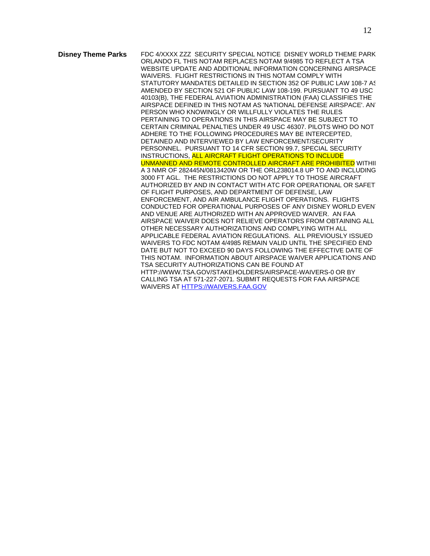**Disney Theme Parks** FDC 4/XXXX ZZZ SECURITY SPECIAL NOTICE DISNEY WORLD THEME PARK ORLANDO FL THIS NOTAM REPLACES NOTAM 9/4985 TO REFLECT A TSA WEBSITE UPDATE AND ADDITIONAL INFORMATION CONCERNING AIRSPACE WAIVERS. FLIGHT RESTRICTIONS IN THIS NOTAM COMPLY WITH STATUTORY MANDATES DETAILED IN SECTION 352 OF PUBLIC LAW 108-7 AS AMENDED BY SECTION 521 OF PUBLIC LAW 108-199. PURSUANT TO 49 USC 40103(B), THE FEDERAL AVIATION ADMINISTRATION (FAA) CLASSIFIES THE AIRSPACE DEFINED IN THIS NOTAM AS 'NATIONAL DEFENSE AIRSPACE'. ANY PERSON WHO KNOWINGLY OR WILLFULLY VIOLATES THE RULES PERTAINING TO OPERATIONS IN THIS AIRSPACE MAY BE SUBJECT TO CERTAIN CRIMINAL PENALTIES UNDER 49 USC 46307. PILOTS WHO DO NOT ADHERE TO THE FOLLOWING PROCEDURES MAY BE INTERCEPTED, DETAINED AND INTERVIEWED BY LAW ENFORCEMENT/SECURITY PERSONNEL. PURSUANT TO 14 CFR SECTION 99.7, SPECIAL SECURITY INSTRUCTIONS, ALL AIRCRAFT FLIGHT OPERATIONS TO INCLUDE UNMANNED AND REMOTE CONTROLLED AIRCRAFT ARE PROHIBITED WITHII A 3 NMR OF 282445N/0813420W OR THE ORL238014.8 UP TO AND INCLUDING 3000 FT AGL. THE RESTRICTIONS DO NOT APPLY TO THOSE AIRCRAFT AUTHORIZED BY AND IN CONTACT WITH ATC FOR OPERATIONAL OR SAFET OF FLIGHT PURPOSES, AND DEPARTMENT OF DEFENSE, LAW ENFORCEMENT, AND AIR AMBULANCE FLIGHT OPERATIONS. FLIGHTS CONDUCTED FOR OPERATIONAL PURPOSES OF ANY DISNEY WORLD EVENT AND VENUE ARE AUTHORIZED WITH AN APPROVED WAIVER. AN FAA AIRSPACE WAIVER DOES NOT RELIEVE OPERATORS FROM OBTAINING ALL OTHER NECESSARY AUTHORIZATIONS AND COMPLYING WITH ALL APPLICABLE FEDERAL AVIATION REGULATIONS. ALL PREVIOUSLY ISSUED WAIVERS TO FDC NOTAM 4/4985 REMAIN VALID UNTIL THE SPECIFIED END DATE BUT NOT TO EXCEED 90 DAYS FOLLOWING THE EFFECTIVE DATE OF THIS NOTAM. INFORMATION ABOUT AIRSPACE WAIVER APPLICATIONS AND TSA SECURITY AUTHORIZATIONS CAN BE FOUND AT HTTP://WWW.TSA.GOV/STAKEHOLDERS/AIRSPACE-WAIVERS-0 OR BY CALLING TSA AT 571-227-2071. SUBMIT REQUESTS FOR FAA AIRSPACE WAIVERS A[T HTTPS://WAIVERS.FAA.GOV](https://waivers.faa.gov/)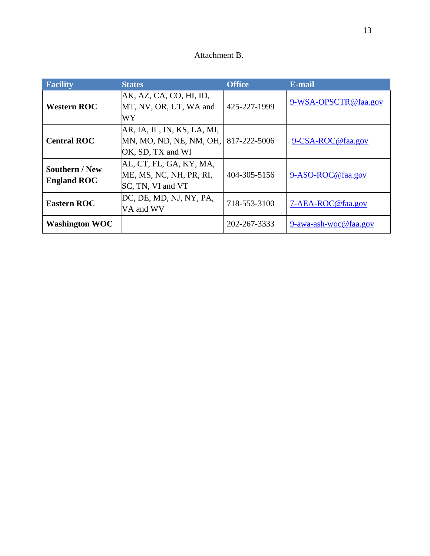| Attachment B. |  |
|---------------|--|
|---------------|--|

| <b>Facility</b>                             | <b>States</b>                                                               | <b>Office</b> | E-mail                |
|---------------------------------------------|-----------------------------------------------------------------------------|---------------|-----------------------|
| <b>Western ROC</b>                          | AK, AZ, CA, CO, HI, ID,<br>MT, NV, OR, UT, WA and<br>WY                     | 425-227-1999  | 9-WSA-OPSCTR@faa.gov  |
| <b>Central ROC</b>                          | AR, IA, IL, IN, KS, LA, MI,<br>MN, MO, ND, NE, NM, OH,<br>OK, SD, TX and WI | 817-222-5006  | 9-CSA-ROC@faa.gov     |
| <b>Southern / New</b><br><b>England ROC</b> | AL, CT, FL, GA, KY, MA,<br>ME, MS, NC, NH, PR, RI,<br>SC, TN, VI and VT     | 404-305-5156  | 9-ASO-ROC@faa.gov     |
| <b>Eastern ROC</b>                          | DC, DE, MD, NJ, NY, PA,<br>VA and WV                                        | 718-553-3100  | 7-AEA-ROC@faa.gov     |
| <b>Washington WOC</b>                       |                                                                             | 202-267-3333  | 9-awa-ash-woc@faa.gov |